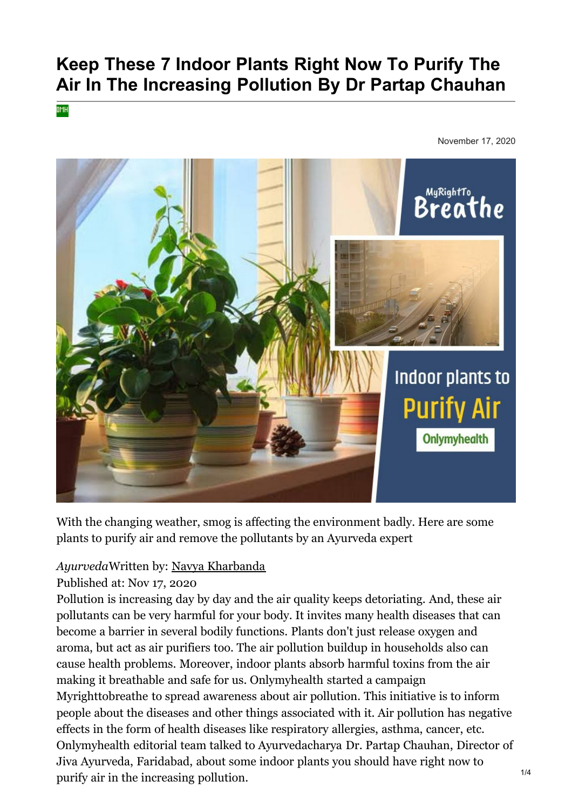# **Keep These 7 Indoor Plants Right Now To Purify The Air In The Increasing Pollution By Dr Partap Chauhan**

OMH

November 17, 2020



With the changing weather, smog is affecting the environment badly. Here are some plants to purify air and remove the pollutants by an Ayurveda expert

## *Ayurveda*Written by: [Navya Kharbanda](https://www.onlymyhealth.com/author/navya-kharbanda-1491456874)

Published at: Nov 17, 2020

Pollution is increasing day by day and the air quality keeps detoriating. And, these air pollutants can be very harmful for your body. It invites many health diseases that can become a barrier in several bodily functions. Plants don't just release oxygen and aroma, but act as air purifiers too. The air pollution buildup in households also can cause health problems. Moreover, indoor plants absorb harmful toxins from the air making it breathable and safe for us. Onlymyhealth started a campaign Myrighttobreathe to spread awareness about air pollution. This initiative is to inform people about the diseases and other things associated with it. Air pollution has negative effects in the form of health diseases like respiratory allergies, asthma, cancer, etc. Onlymyhealth editorial team talked to Ayurvedacharya Dr. Partap Chauhan, Director of Jiva Ayurveda, Faridabad, about some indoor plants you should have right now to purify air in the increasing pollution.  $1/4$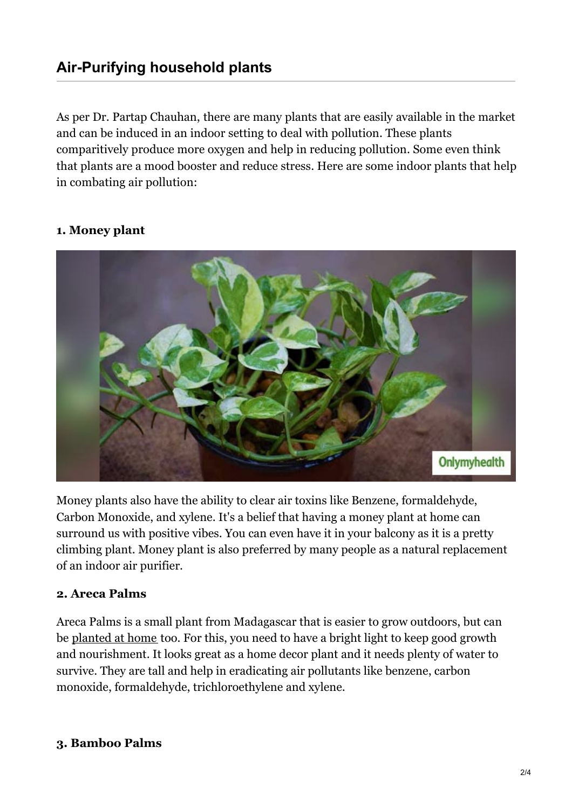[As per D](https://vdo.ai/)r. Partap Chauhan, there are many plants that are easily available in the market and can be induced in an indoor setting to deal with pollution. These plants comparitively produce more oxygen and help in reducing pollution. Some even think that plants are a mood booster and reduce stress. Here are some indoor plants that help in combating air pollution:

### **1. Money plant**



Money plants also have the ability to clear air toxins like Benzene, formaldehyde, Carbon Monoxide, and xylene. It's a belief that having a money plant at home can surround us with positive vibes. You can even have it in your balcony as it is a pretty climbing plant. Money plant is also preferred by many people as a natural replacement of an indoor air purifier.

#### **2. Areca Palms**

Areca Palms is a small plant from Madagascar that is easier to grow outdoors, but can be [planted at home](https://www.onlymyhealth.com/cooling-houseplants-to-keep-the-room-cool-1592290699) too. For this, you need to have a bright light to keep good growth and nourishment. It looks great as a home decor plant and it needs plenty of water to survive. They are tall and help in eradicating air pollutants like benzene, carbon monoxide, formaldehyde, trichloroethylene and xylene.

#### **3. Bamboo Palms**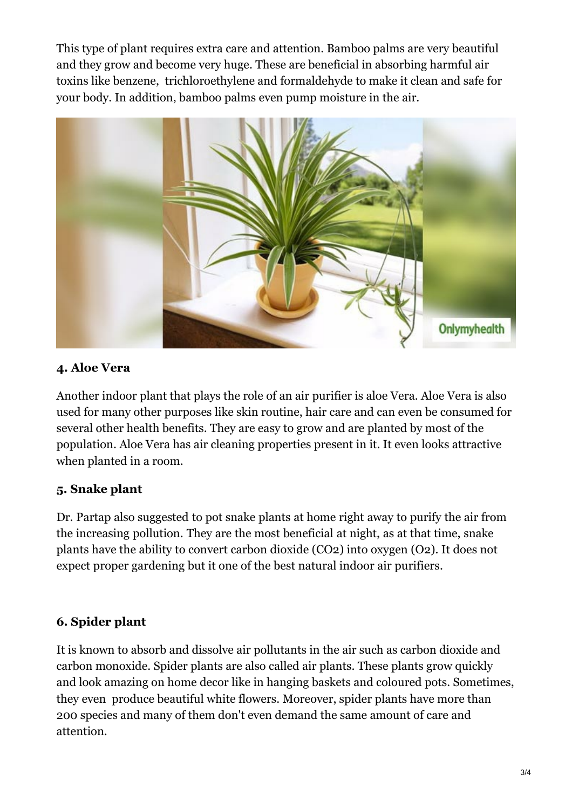This type of plant requires extra care and attention. Bamboo palms are very beautiful and they grow and become very huge. These are beneficial in absorbing harmful air toxins like benzene, trichloroethylene and formaldehyde to make it clean and safe for your body. In addition, bamboo palms even pump moisture in the air.



## **4. Aloe Vera**

Another indoor plant that plays the role of an air purifier is aloe Vera. Aloe Vera is also used for many other purposes like skin routine, hair care and can even be consumed for several other health benefits. They are easy to grow and are planted by most of the population. Aloe Vera has air cleaning properties present in it. It even looks attractive when planted in a room.

# **5. Snake plant**

Dr. Partap also suggested to pot snake plants at home right away to purify the air from the increasing pollution. They are the most beneficial at night, as at that time, snake plants have the ability to convert carbon dioxide (CO2) into oxygen (O2). It does not expect proper gardening but it one of the best natural indoor air purifiers.

# **6. Spider plant**

It is known to absorb and dissolve air pollutants in the air such as carbon dioxide and carbon monoxide. Spider plants are also called air plants. These plants grow quickly and look amazing on home decor like in hanging baskets and coloured pots. Sometimes, they even produce beautiful white flowers. Moreover, spider plants have more than 200 species and many of them don't even demand the same amount of care and attention.